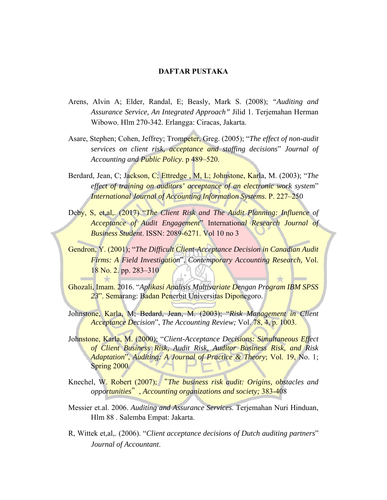## **DAFTAR PUSTAKA**

- Arens, Alvin A; Elder, Randal, E; Beasly, Mark S. (2008); *"Auditing and Assurance Service, An Integrated Approach"* Jilid 1. Terjemahan Herman Wibowo. Hlm 270-342. Erlangga: Ciracas, Jakarta.
- Asare, Stephen; Cohen, Jeffrey; Trompeter, Greg. (2005); "*The effect of non-audit services on client risk, acceptance and staffing decisions*" *Journal of Accounting and Public Policy*. p 489–520.
- Berdard, Jean, C; Jackson, C; Ettredge , M, L; Johnstone, Karla, M. (2003); "*The effect of training on auditors' acceptance of an electronic work system*" *International Journal of Accounting Information Systems*. P. 227–250
- Deby, S. et,al., (2017) "*The Client Risk and The Audit Planning: Influence of Acceptance of Audit Engagement*" Internation*al Research Journal of Business Student*. ISSN: 2089-6271. Vol 10 no 3
- Gendron, Y. (2001); "*The Difficult Client-Acceptance Decision in Canadian Audit Firms: A Field Investigation*", *Contemporary Accounting Research,* Vol. 18 No. 2. pp. 283–310
- Ghozali, Imam. 2016. "*Aplikasi Analisis Multivariate Dengan Program IBM SPSS 23*". Semarang: Badan Penerbit Universitas Diponegoro.
- Johnstone, Karla, M; Bedard, Jean, M. (2003); "*Risk Management in Client Acceptance Decision*", *The Accounting Review;* Vol. 78, 4, p. 1003.
- Johnstone, Karla, M. (2000); "*Client-Acceptance Decisions: Simultaneous Effect of Client Business Risk, Audit Risk, Auditor Business Risk, and Risk Adaptation*", *Auditing: A Journal of Practice & Theory*; Vol. 19, No. 1; Spring 2000.
- Knechel, W. Robert (2007); "*The business risk audit: Origins, obstacles and opportunities*", *Accounting organizations and society;* 383-408
- Messier et.al. 2006. *Auditing and Assurance Services*. Terjemahan Nuri Hinduan, Hlm 88 . Salemba Empat: Jakarta.
- R, Wittek et,al,. (2006). "*Client acceptance decisions of Dutch auditing partners*" *Journal of Accountant*.